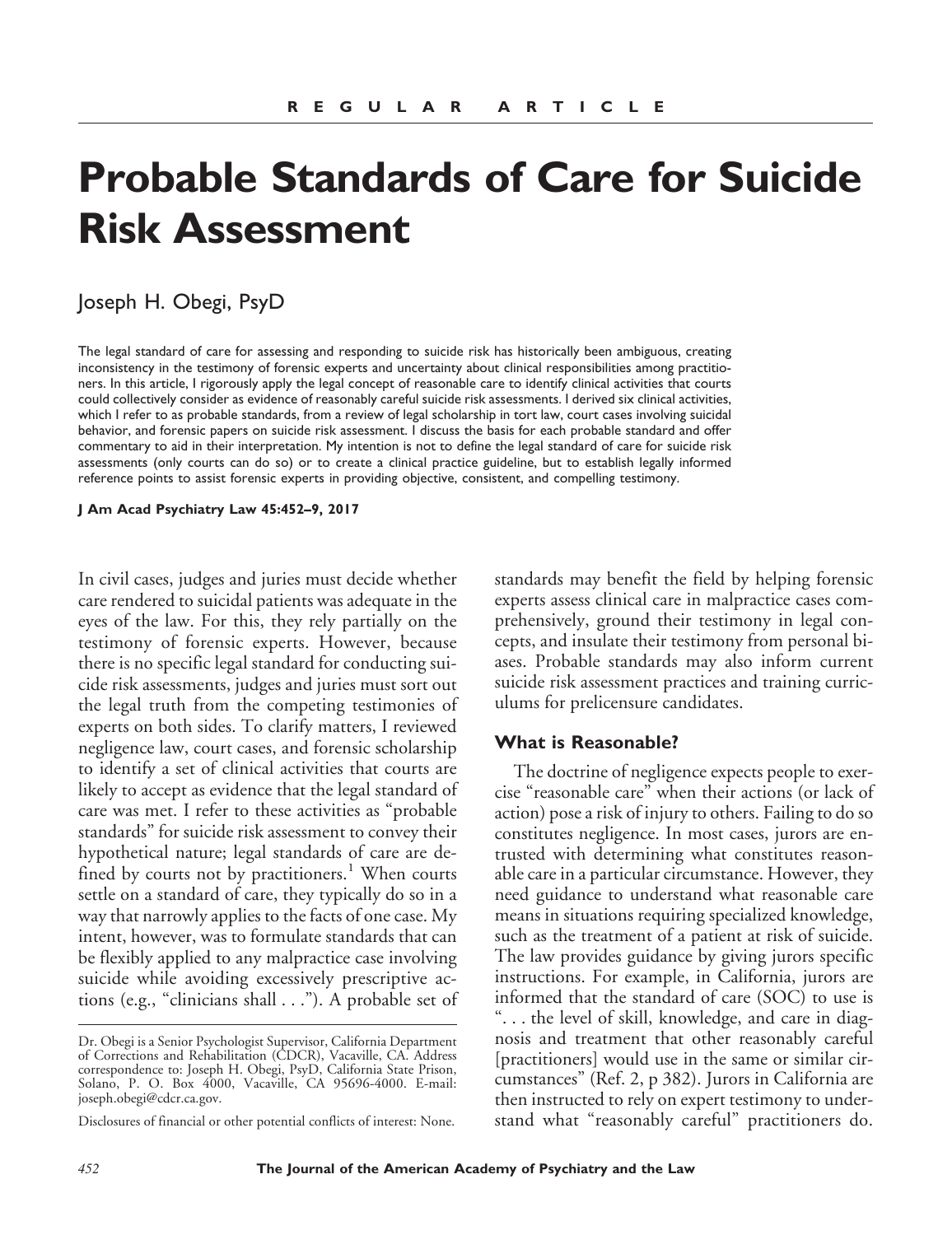# **Probable Standards of Care for Suicide Risk Assessment**

# Joseph H. Obegi, PsyD

The legal standard of care for assessing and responding to suicide risk has historically been ambiguous, creating inconsistency in the testimony of forensic experts and uncertainty about clinical responsibilities among practitioners. In this article, I rigorously apply the legal concept of reasonable care to identify clinical activities that courts could collectively consider as evidence of reasonably careful suicide risk assessments. I derived six clinical activities, which I refer to as probable standards, from a review of legal scholarship in tort law, court cases involving suicidal behavior, and forensic papers on suicide risk assessment. I discuss the basis for each probable standard and offer commentary to aid in their interpretation. My intention is not to define the legal standard of care for suicide risk assessments (only courts can do so) or to create a clinical practice guideline, but to establish legally informed reference points to assist forensic experts in providing objective, consistent, and compelling testimony.

**J Am Acad Psychiatry Law 45:452–9, 2017**

In civil cases, judges and juries must decide whether care rendered to suicidal patients was adequate in the eyes of the law. For this, they rely partially on the testimony of forensic experts. However, because there is no specific legal standard for conducting suicide risk assessments, judges and juries must sort out the legal truth from the competing testimonies of experts on both sides. To clarify matters, I reviewed negligence law, court cases, and forensic scholarship to identify a set of clinical activities that courts are likely to accept as evidence that the legal standard of care was met. I refer to these activities as "probable standards" for suicide risk assessment to convey their hypothetical nature; legal standards of care are defined by courts not by practitioners.<sup>1</sup> When courts settle on a standard of care, they typically do so in a way that narrowly applies to the facts of one case. My intent, however, was to formulate standards that can be flexibly applied to any malpractice case involving suicide while avoiding excessively prescriptive actions (e.g., "clinicians shall . . ."). A probable set of

standards may benefit the field by helping forensic experts assess clinical care in malpractice cases comprehensively, ground their testimony in legal concepts, and insulate their testimony from personal biases. Probable standards may also inform current suicide risk assessment practices and training curriculums for prelicensure candidates.

#### **What is Reasonable?**

The doctrine of negligence expects people to exercise "reasonable care" when their actions (or lack of action) pose a risk of injury to others. Failing to do so constitutes negligence. In most cases, jurors are entrusted with determining what constitutes reasonable care in a particular circumstance. However, they need guidance to understand what reasonable care means in situations requiring specialized knowledge, such as the treatment of a patient at risk of suicide. The law provides guidance by giving jurors specific instructions. For example, in California, jurors are informed that the standard of care (SOC) to use is ". . . the level of skill, knowledge, and care in diagnosis and treatment that other reasonably careful [practitioners] would use in the same or similar circumstances" (Ref. 2, p 382). Jurors in California are then instructed to rely on expert testimony to understand what "reasonably careful" practitioners do.

Dr. Obegi is a Senior Psychologist Supervisor, California Department of Corrections and Rehabilitation (CDCR), Vacaville, CA. Address correspondence to: Joseph H. Obegi, PsyD, California State Prison, Solano, P. O. Box 4000, Vacaville, CA 95696-4000. E-mail: joseph.obegi@cdcr.ca.gov.

Disclosures of financial or other potential conflicts of interest: None.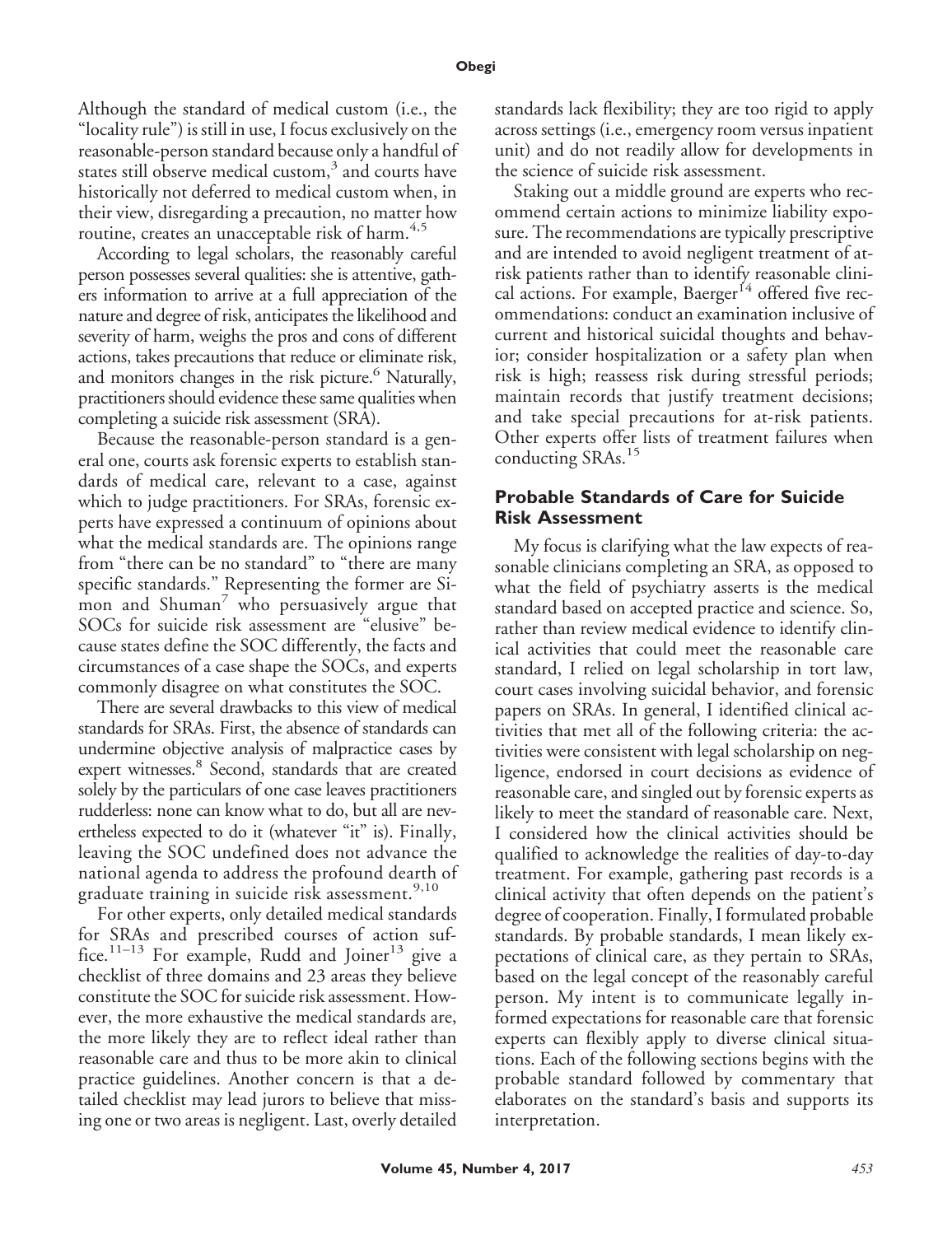Although the standard of medical custom (i.e., the "locality rule") is still in use, I focus exclusively on the reasonable-person standard because only a handful of states still observe medical custom, $3$  and courts have historically not deferred to medical custom when, in their view, disregarding a precaution, no matter how routine, creates an unacceptable risk of harm.<sup>4,5</sup>

According to legal scholars, the reasonably careful person possesses several qualities: she is attentive, gathers information to arrive at a full appreciation of the nature and degree of risk, anticipates the likelihood and severity of harm, weighs the pros and cons of different actions, takes precautions that reduce or eliminate risk, and monitors changes in the risk picture.<sup>6</sup> Naturally, practitioners should evidence these same qualities when completing a suicide risk assessment (SRA).

Because the reasonable-person standard is a general one, courts ask forensic experts to establish standards of medical care, relevant to a case, against which to judge practitioners. For SRAs, forensic experts have expressed a continuum of opinions about what the medical standards are. The opinions range from "there can be no standard" to "there are many specific standards." Representing the former are Simon and Shuman $\prime$  who persuasively argue that SOCs for suicide risk assessment are "elusive" because states define the SOC differently, the facts and circumstances of a case shape the SOCs, and experts commonly disagree on what constitutes the SOC.

There are several drawbacks to this view of medical standards for SRAs. First, the absence of standards can undermine objective analysis of malpractice cases by expert witnesses.<sup>8</sup> Second, standards that are created solely by the particulars of one case leaves practitioners rudderless: none can know what to do, but all are nevertheless expected to do it (whatever "it" is). Finally, leaving the SOC undefined does not advance the national agenda to address the profound dearth of graduate training in suicide risk assessment.<sup>9,10</sup>

For other experts, only detailed medical standards for SRAs and prescribed courses of action suffice.<sup>11–13</sup> For example, Rudd and Joiner<sup>13</sup> give a checklist of three domains and 23 areas they believe constitute the SOC for suicide risk assessment. However, the more exhaustive the medical standards are, the more likely they are to reflect ideal rather than reasonable care and thus to be more akin to clinical practice guidelines. Another concern is that a detailed checklist may lead jurors to believe that missing one or two areas is negligent. Last, overly detailed

standards lack flexibility; they are too rigid to apply across settings (i.e., emergency room versus inpatient unit) and do not readily allow for developments in the science of suicide risk assessment.

Staking out a middle ground are experts who recommend certain actions to minimize liability exposure. The recommendations are typically prescriptive and are intended to avoid negligent treatment of atrisk patients rather than to identify reasonable clinical actions. For example, Baerger<sup>14</sup> offered five recommendations: conduct an examination inclusive of current and historical suicidal thoughts and behavior; consider hospitalization or a safety plan when risk is high; reassess risk during stressful periods; maintain records that justify treatment decisions; and take special precautions for at-risk patients. Other experts offer lists of treatment failures when conducting SRAs.<sup>15</sup>

# **Probable Standards of Care for Suicide Risk Assessment**

My focus is clarifying what the law expects of reasonable clinicians completing an SRA, as opposed to what the field of psychiatry asserts is the medical standard based on accepted practice and science. So, rather than review medical evidence to identify clinical activities that could meet the reasonable care standard, I relied on legal scholarship in tort law, court cases involving suicidal behavior, and forensic papers on SRAs. In general, I identified clinical activities that met all of the following criteria: the activities were consistent with legal scholarship on negligence, endorsed in court decisions as evidence of reasonable care, and singled out by forensic experts as likely to meet the standard of reasonable care. Next, I considered how the clinical activities should be qualified to acknowledge the realities of day-to-day treatment. For example, gathering past records is a clinical activity that often depends on the patient's degree of cooperation. Finally, I formulated probable standards. By probable standards, I mean likely expectations of clinical care, as they pertain to SRAs, based on the legal concept of the reasonably careful person. My intent is to communicate legally informed expectations for reasonable care that forensic experts can flexibly apply to diverse clinical situations. Each of the following sections begins with the probable standard followed by commentary that elaborates on the standard's basis and supports its interpretation.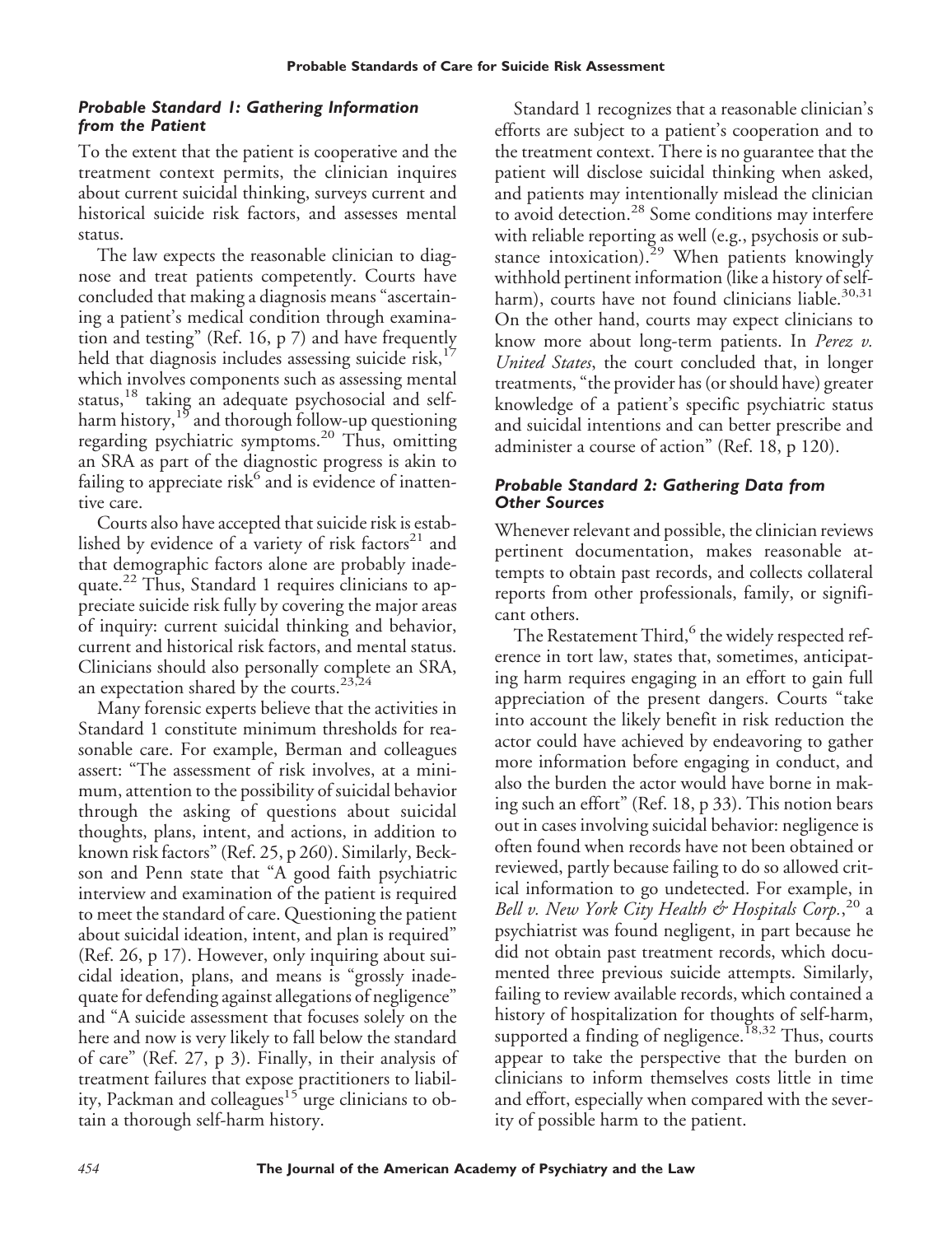## *Probable Standard 1: Gathering Information from the Patient*

To the extent that the patient is cooperative and the treatment context permits, the clinician inquires about current suicidal thinking, surveys current and historical suicide risk factors, and assesses mental status.

The law expects the reasonable clinician to diagnose and treat patients competently. Courts have concluded that making a diagnosis means "ascertaining a patient's medical condition through examination and testing" (Ref. 16, p 7) and have frequently held that diagnosis includes assessing suicide risk, $1/$ which involves components such as assessing mental status,<sup>18</sup> taking an adequate psychosocial and selfharm history,  $19$  and thorough follow-up questioning regarding psychiatric symptoms.<sup>20</sup> Thus, omitting an SRA as part of the diagnostic progress is akin to failing to appreciate risk $6$  and is evidence of inattentive care.

Courts also have accepted that suicide risk is established by evidence of a variety of risk factors $21$  and that demographic factors alone are probably inadequate.<sup>22</sup> Thus, Standard 1 requires clinicians to appreciate suicide risk fully by covering the major areas of inquiry: current suicidal thinking and behavior, current and historical risk factors, and mental status. Clinicians should also personally complete an SRA, an expectation shared by the courts.<sup>23,24</sup>

Many forensic experts believe that the activities in Standard 1 constitute minimum thresholds for reasonable care. For example, Berman and colleagues assert: "The assessment of risk involves, at a minimum, attention to the possibility of suicidal behavior through the asking of questions about suicidal thoughts, plans, intent, and actions, in addition to known risk factors" (Ref. 25, p 260). Similarly, Beckson and Penn state that "A good faith psychiatric interview and examination of the patient is required to meet the standard of care. Questioning the patient about suicidal ideation, intent, and plan is required" (Ref. 26, p 17). However, only inquiring about suicidal ideation, plans, and means is "grossly inadequate for defending against allegations of negligence" and "A suicide assessment that focuses solely on the here and now is very likely to fall below the standard of care" (Ref. 27, p 3). Finally, in their analysis of treatment failures that expose practitioners to liability, Packman and colleagues<sup>15</sup> urge clinicians to obtain a thorough self-harm history.

Standard 1 recognizes that a reasonable clinician's efforts are subject to a patient's cooperation and to the treatment context. There is no guarantee that the patient will disclose suicidal thinking when asked, and patients may intentionally mislead the clinician to avoid detection.<sup>28</sup> Some conditions may interfere with reliable reporting as well (e.g., psychosis or substance intoxication).<sup>29</sup> When patients knowingly withhold pertinent information (like a history of selfharm), courts have not found clinicians liable. $30,31$ On the other hand, courts may expect clinicians to know more about long-term patients. In *Perez v. United States*, the court concluded that, in longer treatments, "the provider has (or should have) greater knowledge of a patient's specific psychiatric status and suicidal intentions and can better prescribe and administer a course of action" (Ref. 18, p 120).

## *Probable Standard 2: Gathering Data from Other Sources*

Whenever relevant and possible, the clinician reviews pertinent documentation, makes reasonable attempts to obtain past records, and collects collateral reports from other professionals, family, or significant others.

The Restatement Third, $^6$  the widely respected reference in tort law, states that, sometimes, anticipating harm requires engaging in an effort to gain full appreciation of the present dangers. Courts "take into account the likely benefit in risk reduction the actor could have achieved by endeavoring to gather more information before engaging in conduct, and also the burden the actor would have borne in making such an effort" (Ref. 18, p 33). This notion bears out in cases involving suicidal behavior: negligence is often found when records have not been obtained or reviewed, partly because failing to do so allowed critical information to go undetected. For example, in Bell v. New York City Health & Hospitals Corp.,<sup>20</sup> a psychiatrist was found negligent, in part because he did not obtain past treatment records, which documented three previous suicide attempts. Similarly, failing to review available records, which contained a history of hospitalization for thoughts of self-harm, supported a finding of negligence.<sup>18,32</sup> Thus, courts appear to take the perspective that the burden on clinicians to inform themselves costs little in time and effort, especially when compared with the severity of possible harm to the patient.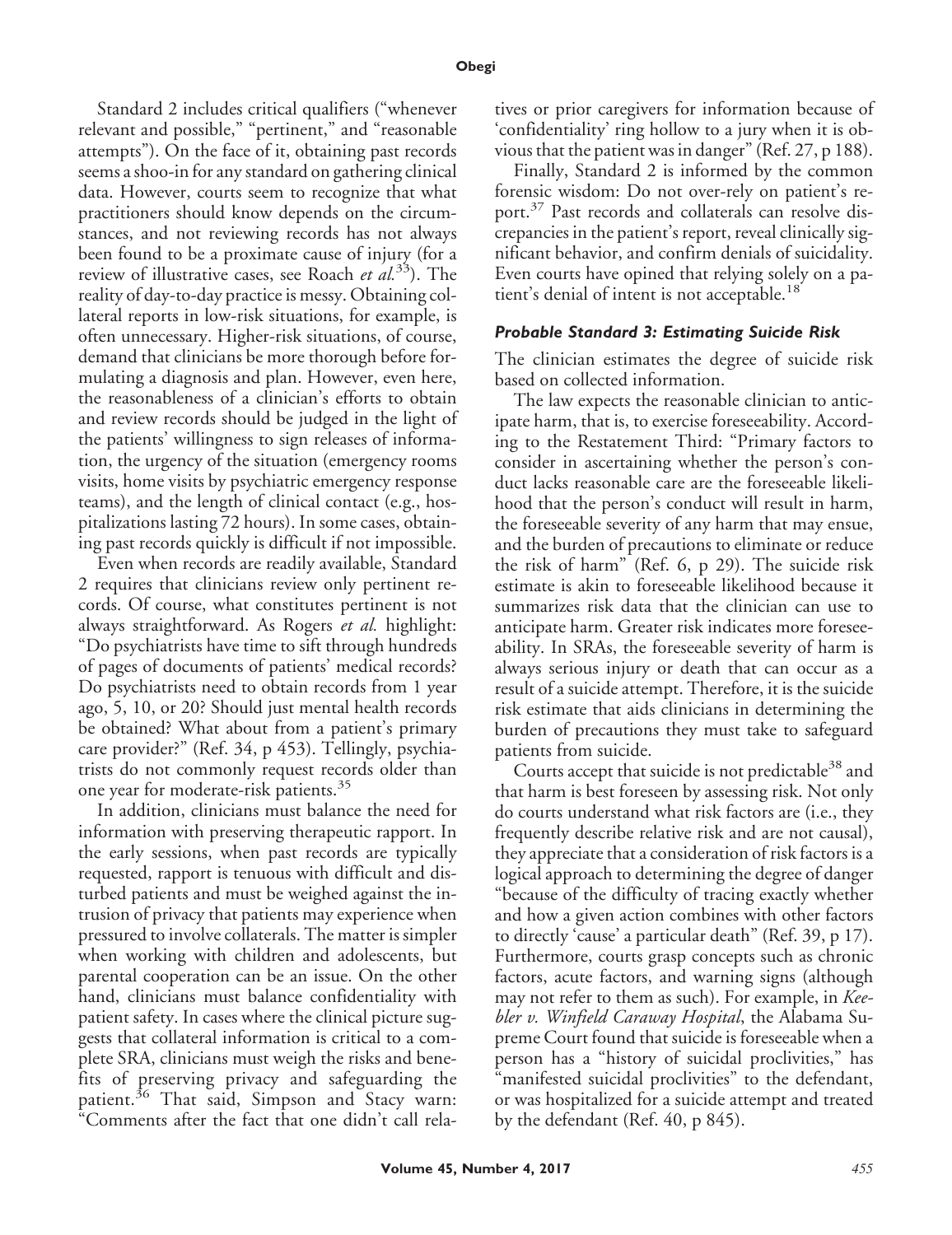Standard 2 includes critical qualifiers ("whenever relevant and possible," "pertinent," and "reasonable attempts"). On the face of it, obtaining past records seems a shoo-in for any standard on gathering clinical data. However, courts seem to recognize that what practitioners should know depends on the circumstances, and not reviewing records has not always been found to be a proximate cause of injury (for a review of illustrative cases, see Roach *et al.*33). The reality of day-to-day practice is messy. Obtaining collateral reports in low-risk situations, for example, is often unnecessary. Higher-risk situations, of course, demand that clinicians be more thorough before formulating a diagnosis and plan. However, even here, the reasonableness of a clinician's efforts to obtain and review records should be judged in the light of the patients' willingness to sign releases of information, the urgency of the situation (emergency rooms visits, home visits by psychiatric emergency response teams), and the length of clinical contact (e.g., hospitalizations lasting 72 hours). In some cases, obtaining past records quickly is difficult if not impossible.

Even when records are readily available, Standard 2 requires that clinicians review only pertinent records. Of course, what constitutes pertinent is not always straightforward. As Rogers *et al.* highlight: "Do psychiatrists have time to sift through hundreds of pages of documents of patients' medical records? Do psychiatrists need to obtain records from 1 year ago, 5, 10, or 20? Should just mental health records be obtained? What about from a patient's primary care provider?" (Ref. 34, p 453). Tellingly, psychiatrists do not commonly request records older than one year for moderate-risk patients.<sup>35</sup>

In addition, clinicians must balance the need for information with preserving therapeutic rapport. In the early sessions, when past records are typically requested, rapport is tenuous with difficult and disturbed patients and must be weighed against the intrusion of privacy that patients may experience when pressured to involve collaterals. The matter is simpler when working with children and adolescents, but parental cooperation can be an issue. On the other hand, clinicians must balance confidentiality with patient safety. In cases where the clinical picture suggests that collateral information is critical to a complete SRA, clinicians must weigh the risks and benefits of preserving privacy and safeguarding the patient.<sup>36</sup> That said, Simpson and Stacy warn: "Comments after the fact that one didn't call relatives or prior caregivers for information because of 'confidentiality' ring hollow to a jury when it is obvious that the patient was in danger" (Ref. 27, p 188).

Finally, Standard 2 is informed by the common forensic wisdom: Do not over-rely on patient's report.<sup>37</sup> Past records and collaterals can resolve discrepancies in the patient's report, reveal clinically significant behavior, and confirm denials of suicidality. Even courts have opined that relying solely on a patient's denial of intent is not acceptable.<sup>18</sup>

#### *Probable Standard 3: Estimating Suicide Risk*

The clinician estimates the degree of suicide risk based on collected information.

The law expects the reasonable clinician to anticipate harm, that is, to exercise foreseeability. According to the Restatement Third: "Primary factors to consider in ascertaining whether the person's conduct lacks reasonable care are the foreseeable likelihood that the person's conduct will result in harm, the foreseeable severity of any harm that may ensue, and the burden of precautions to eliminate or reduce the risk of harm" (Ref. 6, p 29). The suicide risk estimate is akin to foreseeable likelihood because it summarizes risk data that the clinician can use to anticipate harm. Greater risk indicates more foreseeability. In SRAs, the foreseeable severity of harm is always serious injury or death that can occur as a result of a suicide attempt. Therefore, it is the suicide risk estimate that aids clinicians in determining the burden of precautions they must take to safeguard patients from suicide.

Courts accept that suicide is not predictable<sup>38</sup> and that harm is best foreseen by assessing risk. Not only do courts understand what risk factors are (i.e., they frequently describe relative risk and are not causal), they appreciate that a consideration of risk factors is a logical approach to determining the degree of danger "because of the difficulty of tracing exactly whether and how a given action combines with other factors to directly 'cause' a particular death" (Ref. 39, p 17). Furthermore, courts grasp concepts such as chronic factors, acute factors, and warning signs (although may not refer to them as such). For example, in *Keebler v. Winfield Caraway Hospital*, the Alabama Supreme Court found that suicide is foreseeable when a person has a "history of suicidal proclivities," has "manifested suicidal proclivities" to the defendant, or was hospitalized for a suicide attempt and treated by the defendant (Ref. 40, p 845).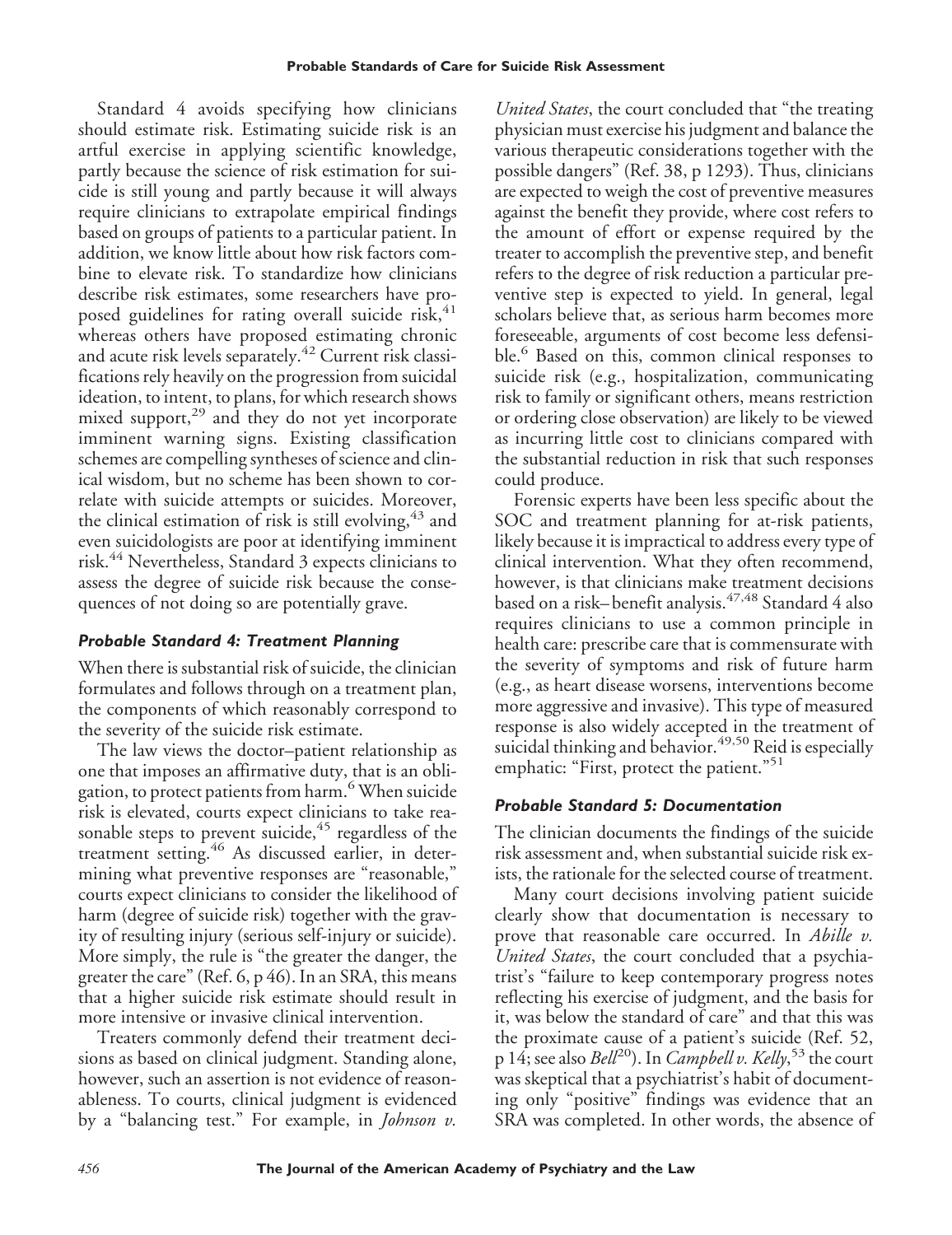Standard 4 avoids specifying how clinicians should estimate risk. Estimating suicide risk is an artful exercise in applying scientific knowledge, partly because the science of risk estimation for suicide is still young and partly because it will always require clinicians to extrapolate empirical findings based on groups of patients to a particular patient. In addition, we know little about how risk factors combine to elevate risk. To standardize how clinicians describe risk estimates, some researchers have proposed guidelines for rating overall suicide risk, $41$ whereas others have proposed estimating chronic and acute risk levels separately.<sup>42</sup> Current risk classifications rely heavily on the progression from suicidal ideation, to intent, to plans, for which research shows mixed support, $^{29}$  and they do not yet incorporate imminent warning signs. Existing classification schemes are compelling syntheses of science and clinical wisdom, but no scheme has been shown to correlate with suicide attempts or suicides. Moreover, the clinical estimation of risk is still evolving,  $43$  and even suicidologists are poor at identifying imminent risk.<sup>44</sup> Nevertheless, Standard 3 expects clinicians to assess the degree of suicide risk because the consequences of not doing so are potentially grave.

# *Probable Standard 4: Treatment Planning*

When there is substantial risk of suicide, the clinician formulates and follows through on a treatment plan, the components of which reasonably correspond to the severity of the suicide risk estimate.

The law views the doctor–patient relationship as one that imposes an affirmative duty, that is an obligation, to protect patients from harm.<sup>6</sup> When suicide risk is elevated, courts expect clinicians to take reasonable steps to prevent suicide,<sup>45</sup> regardless of the treatment setting.<sup>46</sup> As discussed earlier, in determining what preventive responses are "reasonable," courts expect clinicians to consider the likelihood of harm (degree of suicide risk) together with the gravity of resulting injury (serious self-injury or suicide). More simply, the rule is "the greater the danger, the greater the care" (Ref. 6, p 46). In an SRA, this means that a higher suicide risk estimate should result in more intensive or invasive clinical intervention.

Treaters commonly defend their treatment decisions as based on clinical judgment. Standing alone, however, such an assertion is not evidence of reasonableness. To courts, clinical judgment is evidenced by a "balancing test." For example, in *Johnson v.*

*United States*, the court concluded that "the treating physician must exercise his judgment and balance the various therapeutic considerations together with the possible dangers" (Ref. 38, p 1293). Thus, clinicians are expected to weigh the cost of preventive measures against the benefit they provide, where cost refers to the amount of effort or expense required by the treater to accomplish the preventive step, and benefit refers to the degree of risk reduction a particular preventive step is expected to yield. In general, legal scholars believe that, as serious harm becomes more foreseeable, arguments of cost become less defensible.<sup>6</sup> Based on this, common clinical responses to suicide risk (e.g., hospitalization, communicating risk to family or significant others, means restriction or ordering close observation) are likely to be viewed as incurring little cost to clinicians compared with the substantial reduction in risk that such responses could produce.

Forensic experts have been less specific about the SOC and treatment planning for at-risk patients, likely because it is impractical to address every type of clinical intervention. What they often recommend, however, is that clinicians make treatment decisions based on a risk–benefit analysis.<sup>47,48</sup> Standard 4 also requires clinicians to use a common principle in health care: prescribe care that is commensurate with the severity of symptoms and risk of future harm (e.g., as heart disease worsens, interventions become more aggressive and invasive). This type of measured response is also widely accepted in the treatment of suicidal thinking and behavior.<sup>49,50</sup> Reid is especially emphatic: "First, protect the patient."<sup>51</sup>

# *Probable Standard 5: Documentation*

The clinician documents the findings of the suicide risk assessment and, when substantial suicide risk exists, the rationale for the selected course of treatment.

Many court decisions involving patient suicide clearly show that documentation is necessary to prove that reasonable care occurred. In *Abille v. United States*, the court concluded that a psychiatrist's "failure to keep contemporary progress notes reflecting his exercise of judgment, and the basis for it, was below the standard of care" and that this was the proximate cause of a patient's suicide (Ref. 52, p 14; see also *Bell*20). In *Campbell v. Kelly*, <sup>53</sup> the court was skeptical that a psychiatrist's habit of documenting only "positive" findings was evidence that an SRA was completed. In other words, the absence of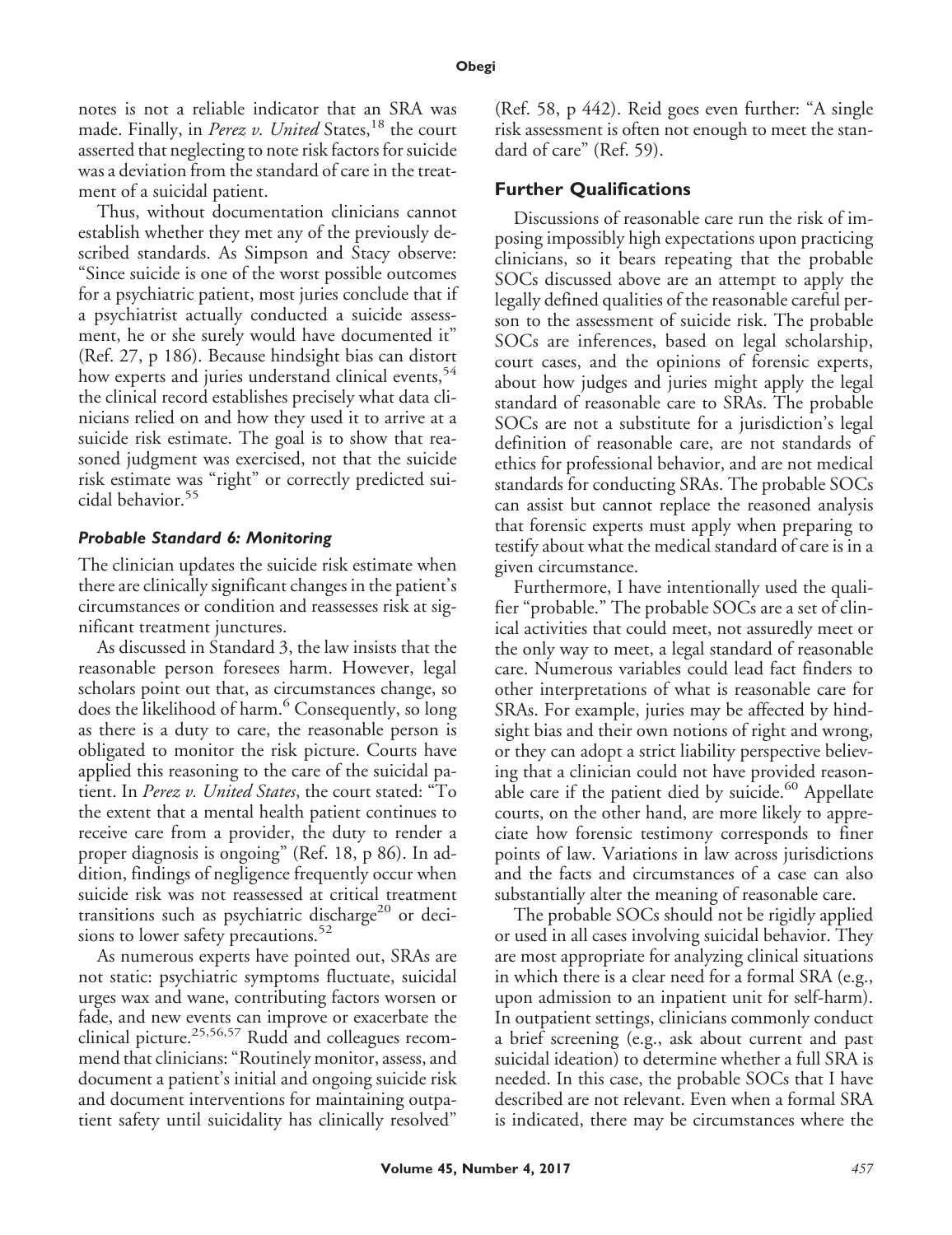notes is not a reliable indicator that an SRA was made. Finally, in *Perez v. United* States,<sup>18</sup> the court asserted that neglecting to note risk factors for suicide was a deviation from the standard of care in the treatment of a suicidal patient.

Thus, without documentation clinicians cannot establish whether they met any of the previously described standards. As Simpson and Stacy observe: "Since suicide is one of the worst possible outcomes for a psychiatric patient, most juries conclude that if a psychiatrist actually conducted a suicide assessment, he or she surely would have documented it" (Ref. 27, p 186). Because hindsight bias can distort how experts and juries understand clinical events,<sup>54</sup> the clinical record establishes precisely what data clinicians relied on and how they used it to arrive at a suicide risk estimate. The goal is to show that reasoned judgment was exercised, not that the suicide risk estimate was "right" or correctly predicted suicidal behavior.<sup>55</sup>

## *Probable Standard 6: Monitoring*

The clinician updates the suicide risk estimate when there are clinically significant changes in the patient's circumstances or condition and reassesses risk at significant treatment junctures.

As discussed in Standard 3, the law insists that the reasonable person foresees harm. However, legal scholars point out that, as circumstances change, so does the likelihood of harm.<sup>6</sup> Consequently, so long as there is a duty to care, the reasonable person is obligated to monitor the risk picture. Courts have applied this reasoning to the care of the suicidal patient. In *Perez v. United States*, the court stated: "To the extent that a mental health patient continues to receive care from a provider, the duty to render a proper diagnosis is ongoing" (Ref. 18, p 86). In addition, findings of negligence frequently occur when suicide risk was not reassessed at critical treatment transitions such as psychiatric discharge<sup>20</sup> or decisions to lower safety precautions. $52$ 

As numerous experts have pointed out, SRAs are not static: psychiatric symptoms fluctuate, suicidal urges wax and wane, contributing factors worsen or fade, and new events can improve or exacerbate the clinical picture.<sup>25,56,57</sup> Rudd and colleagues recommend that clinicians: "Routinely monitor, assess, and document a patient's initial and ongoing suicide risk and document interventions for maintaining outpatient safety until suicidality has clinically resolved"

(Ref. 58, p 442). Reid goes even further: "A single risk assessment is often not enough to meet the standard of care" (Ref. 59).

# **Further Qualifications**

Discussions of reasonable care run the risk of imposing impossibly high expectations upon practicing clinicians, so it bears repeating that the probable SOCs discussed above are an attempt to apply the legally defined qualities of the reasonable careful person to the assessment of suicide risk. The probable SOCs are inferences, based on legal scholarship, court cases, and the opinions of forensic experts, about how judges and juries might apply the legal standard of reasonable care to SRAs. The probable SOCs are not a substitute for a jurisdiction's legal definition of reasonable care, are not standards of ethics for professional behavior, and are not medical standards for conducting SRAs. The probable SOCs can assist but cannot replace the reasoned analysis that forensic experts must apply when preparing to testify about what the medical standard of care is in a given circumstance.

Furthermore, I have intentionally used the qualifier "probable." The probable SOCs are a set of clinical activities that could meet, not assuredly meet or the only way to meet, a legal standard of reasonable care. Numerous variables could lead fact finders to other interpretations of what is reasonable care for SRAs. For example, juries may be affected by hindsight bias and their own notions of right and wrong, or they can adopt a strict liability perspective believing that a clinician could not have provided reasonable care if the patient died by suicide.<sup>60</sup> Appellate courts, on the other hand, are more likely to appreciate how forensic testimony corresponds to finer points of law. Variations in law across jurisdictions and the facts and circumstances of a case can also substantially alter the meaning of reasonable care.

The probable SOCs should not be rigidly applied or used in all cases involving suicidal behavior. They are most appropriate for analyzing clinical situations in which there is a clear need for a formal SRA (e.g., upon admission to an inpatient unit for self-harm). In outpatient settings, clinicians commonly conduct a brief screening (e.g., ask about current and past suicidal ideation) to determine whether a full SRA is needed. In this case, the probable SOCs that I have described are not relevant. Even when a formal SRA is indicated, there may be circumstances where the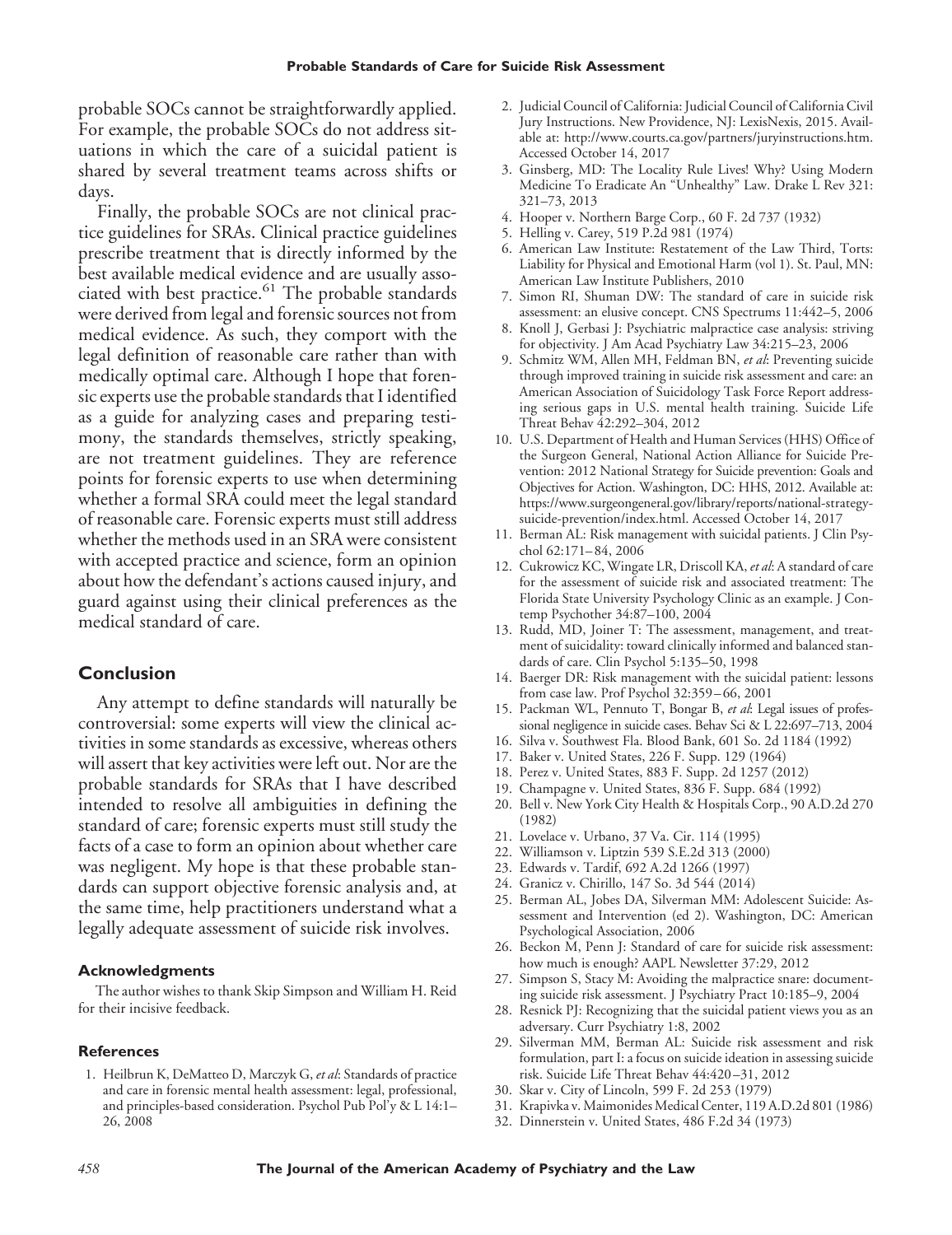probable SOCs cannot be straightforwardly applied. For example, the probable SOCs do not address situations in which the care of a suicidal patient is shared by several treatment teams across shifts or days.

Finally, the probable SOCs are not clinical practice guidelines for SRAs. Clinical practice guidelines prescribe treatment that is directly informed by the best available medical evidence and are usually associated with best practice. $61$  The probable standards were derived from legal and forensic sources not from medical evidence. As such, they comport with the legal definition of reasonable care rather than with medically optimal care. Although I hope that forensic experts use the probable standards that I identified as a guide for analyzing cases and preparing testimony, the standards themselves, strictly speaking, are not treatment guidelines. They are reference points for forensic experts to use when determining whether a formal SRA could meet the legal standard of reasonable care. Forensic experts must still address whether the methods used in an SRA were consistent with accepted practice and science, form an opinion about how the defendant's actions caused injury, and guard against using their clinical preferences as the medical standard of care.

#### **Conclusion**

Any attempt to define standards will naturally be controversial: some experts will view the clinical activities in some standards as excessive, whereas others will assert that key activities were left out. Nor are the probable standards for SRAs that I have described intended to resolve all ambiguities in defining the standard of care; forensic experts must still study the facts of a case to form an opinion about whether care was negligent. My hope is that these probable standards can support objective forensic analysis and, at the same time, help practitioners understand what a legally adequate assessment of suicide risk involves.

#### **Acknowledgments**

The author wishes to thank Skip Simpson and William H. Reid for their incisive feedback.

#### **References**

1. Heilbrun K, DeMatteo D, Marczyk G, *et al*: Standards of practice and care in forensic mental health assessment: legal, professional, and principles-based consideration. Psychol Pub Pol'y & L 14:1– 26, 2008

- 2. Judicial Council of California: Judicial Council of California Civil Jury Instructions. New Providence, NJ: LexisNexis, 2015. Available at: http://www.courts.ca.gov/partners/juryinstructions.htm. Accessed October 14, 2017
- 3. Ginsberg, MD: The Locality Rule Lives! Why? Using Modern Medicine To Eradicate An "Unhealthy" Law. Drake L Rev 321: 321–73, 2013
- 4. Hooper v. Northern Barge Corp., 60 F. 2d 737 (1932)
- 5. Helling v. Carey, 519 P.2d 981 (1974)
- 6. American Law Institute: Restatement of the Law Third, Torts: Liability for Physical and Emotional Harm (vol 1). St. Paul, MN: American Law Institute Publishers, 2010
- 7. Simon RI, Shuman DW: The standard of care in suicide risk assessment: an elusive concept. CNS Spectrums 11:442–5, 2006
- 8. Knoll J, Gerbasi J: Psychiatric malpractice case analysis: striving for objectivity. J Am Acad Psychiatry Law 34:215–23, 2006
- 9. Schmitz WM, Allen MH, Feldman BN, *et al*: Preventing suicide through improved training in suicide risk assessment and care: an American Association of Suicidology Task Force Report addressing serious gaps in U.S. mental health training. Suicide Life Threat Behav 42:292–304, 2012
- 10. U.S. Department of Health and Human Services (HHS) Office of the Surgeon General, National Action Alliance for Suicide Prevention: 2012 National Strategy for Suicide prevention: Goals and Objectives for Action. Washington, DC: HHS, 2012. Available at: https://www.surgeongeneral.gov/library/reports/national-strategysuicide-prevention/index.html. Accessed October 14, 2017
- 11. Berman AL: Risk management with suicidal patients. J Clin Psychol 62:171– 84, 2006
- 12. Cukrowicz KC, Wingate LR, Driscoll KA, *et al*: A standard of care for the assessment of suicide risk and associated treatment: The Florida State University Psychology Clinic as an example. J Contemp Psychother 34:87–100, 2004
- 13. Rudd, MD, Joiner T: The assessment, management, and treatment of suicidality: toward clinically informed and balanced standards of care. Clin Psychol 5:135–50, 1998
- 14. Baerger DR: Risk management with the suicidal patient: lessons from case law. Prof Psychol 32:359 – 66, 2001
- 15. Packman WL, Pennuto T, Bongar B, *et al*: Legal issues of professional negligence in suicide cases. Behav Sci & L 22:697–713, 2004
- 16. Silva v. Southwest Fla. Blood Bank, 601 So. 2d 1184 (1992)
- 17. Baker v. United States, 226 F. Supp. 129 (1964)
- 18. Perez v. United States, 883 F. Supp. 2d 1257 (2012)
- 19. Champagne v. United States, 836 F. Supp. 684 (1992)
- 20. Bell v. New York City Health & Hospitals Corp., 90 A.D.2d 270 (1982)
- 21. Lovelace v. Urbano, 37 Va. Cir. 114 (1995)
- 22. Williamson v. Liptzin 539 S.E.2d 313 (2000)
- 23. Edwards v. Tardif, 692 A.2d 1266 (1997)
- 24. Granicz v. Chirillo, 147 So. 3d 544 (2014)
- 25. Berman AL, Jobes DA, Silverman MM: Adolescent Suicide: Assessment and Intervention (ed 2). Washington, DC: American Psychological Association, 2006
- 26. Beckon M, Penn J: Standard of care for suicide risk assessment: how much is enough? AAPL Newsletter 37:29, 2012
- 27. Simpson S, Stacy M: Avoiding the malpractice snare: documenting suicide risk assessment. J Psychiatry Pract 10:185–9, 2004
- 28. Resnick PJ: Recognizing that the suicidal patient views you as an adversary. Curr Psychiatry 1:8, 2002
- 29. Silverman MM, Berman AL: Suicide risk assessment and risk formulation, part I: a focus on suicide ideation in assessing suicide risk. Suicide Life Threat Behav 44:420 –31, 2012
- 30. Skar v. City of Lincoln, 599 F. 2d 253 (1979)
- 31. Krapivka v. Maimonides Medical Center, 119 A.D.2d 801 (1986)
- 32. Dinnerstein v. United States, 486 F.2d 34 (1973)